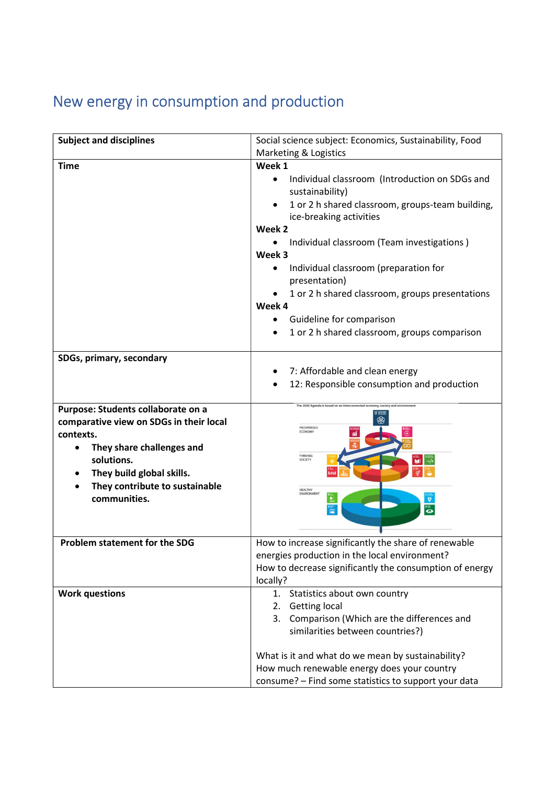## New energy in consumption and production

| <b>Subject and disciplines</b>          | Social science subject: Economics, Sustainability, Food                               |
|-----------------------------------------|---------------------------------------------------------------------------------------|
|                                         | Marketing & Logistics                                                                 |
| <b>Time</b>                             | Week 1                                                                                |
|                                         | Individual classroom (Introduction on SDGs and<br>$\bullet$<br>sustainability)        |
|                                         | 1 or 2 h shared classroom, groups-team building,<br>ice-breaking activities           |
|                                         | Week 2                                                                                |
|                                         | $\bullet$                                                                             |
|                                         | Individual classroom (Team investigations)<br>Week 3                                  |
|                                         |                                                                                       |
|                                         | Individual classroom (preparation for<br>$\bullet$<br>presentation)                   |
|                                         | 1 or 2 h shared classroom, groups presentations                                       |
|                                         | Week 4                                                                                |
|                                         | Guideline for comparison<br>$\bullet$                                                 |
|                                         | 1 or 2 h shared classroom, groups comparison                                          |
|                                         |                                                                                       |
| SDGs, primary, secondary                |                                                                                       |
|                                         | 7: Affordable and clean energy                                                        |
|                                         | 12: Responsible consumption and production                                            |
|                                         |                                                                                       |
| Purpose: Students collaborate on a      |                                                                                       |
| comparative view on SDGs in their local | 龠                                                                                     |
| contexts.                               | PROSPEROUS<br><b>ECONOMY</b>                                                          |
| They share challenges and               |                                                                                       |
| solutions.                              | THRIVING<br>SOCIETY                                                                   |
| They build global skills.               |                                                                                       |
| They contribute to sustainable          |                                                                                       |
| communities.                            | HEALTHY<br>ENVIRONMENT<br>$\begin{array}{c} \n\mathbf{a} \\ \n\mathbf{b} \end{array}$ |
|                                         |                                                                                       |
|                                         |                                                                                       |
| <b>Problem statement for the SDG</b>    | How to increase significantly the share of renewable                                  |
|                                         | energies production in the local environment?                                         |
|                                         | How to decrease significantly the consumption of energy                               |
|                                         | locally?                                                                              |
| <b>Work questions</b>                   | 1. Statistics about own country                                                       |
|                                         | 2. Getting local                                                                      |
|                                         | 3. Comparison (Which are the differences and                                          |
|                                         | similarities between countries?)                                                      |
|                                         |                                                                                       |
|                                         | What is it and what do we mean by sustainability?                                     |
|                                         | How much renewable energy does your country                                           |
|                                         | consume? - Find some statistics to support your data                                  |